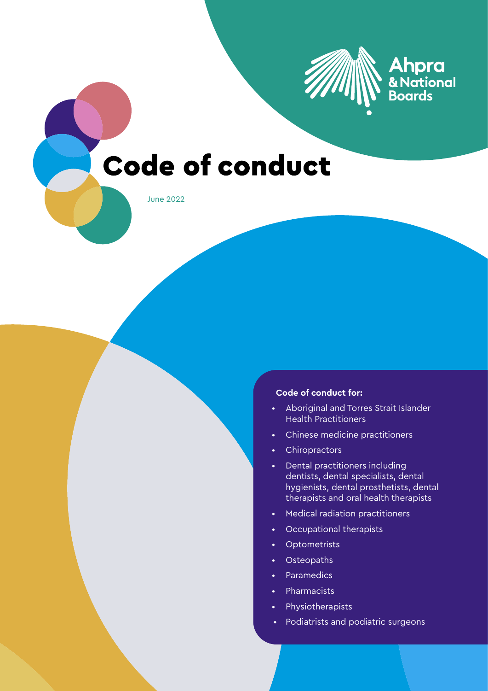

# **Ahpra**<br>& National<br>Boards

## **Code of conduct**

June 2022

#### **Code of conduct for:**

- Aboriginal and Torres Strait Islander Health Practitioners
- Chinese medicine practitioners
- Chiropractors
- Dental practitioners including dentists, dental specialists, dental hygienists, dental prosthetists, dental therapists and oral health therapists
- Medical radiation practitioners
- Occupational therapists
- Optometrists
- Osteopaths
- Paramedics
- Pharmacists
- Physiotherapists
- Podiatrists and podiatric surgeons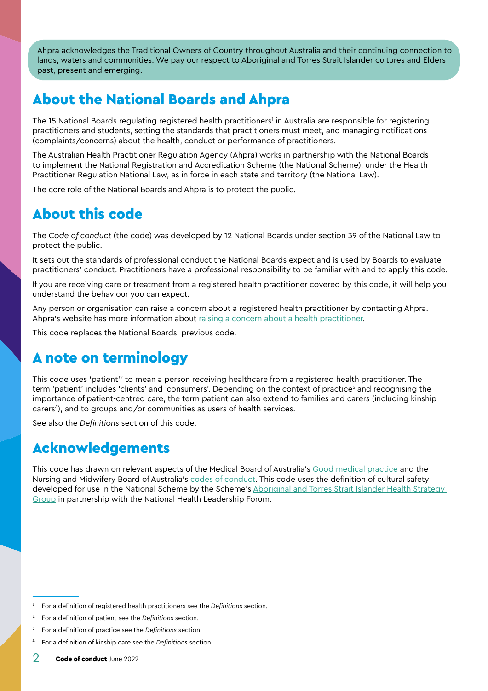<span id="page-1-0"></span>Ahpra acknowledges the Traditional Owners of Country throughout Australia and their continuing connection to lands, waters and communities. We pay our respect to Aboriginal and Torres Strait Islander cultures and Elders past, present and emerging.

## About the National Boards and Ahpra

The 15 National Boards regulating registered health practitioners' in Australia are responsible for registering practitioners and students, setting the standards that practitioners must meet, and managing notifications (complaints/concerns) about the health, conduct or performance of practitioners.

The Australian Health Practitioner Regulation Agency (Ahpra) works in partnership with the National Boards to implement the National Registration and Accreditation Scheme (the National Scheme), under the Health Practitioner Regulation National Law, as in force in each state and territory (the National Law).

The core role of the National Boards and Ahpra is to protect the public.

## About this code

The *Code of conduct* (the code) was developed by 12 National Boards under section 39 of the National Law to protect the public.

It sets out the standards of professional conduct the National Boards expect and is used by Boards to evaluate practitioners' conduct. Practitioners have a professional responsibility to be familiar with and to apply this code.

If you are receiving care or treatment from a registered health practitioner covered by this code, it will help you understand the behaviour you can expect.

Any person or organisation can raise a concern about a registered health practitioner by contacting Ahpra. Ahpra's website has more information about [raising a concern about a health practitioner.](https://www.ahpra.gov.au/Notifications/Concerned-about-a-health-practitioner.aspx)

This code replaces the National Boards' previous code.

## A note on terminology

This code uses 'patient'<sup>2</sup> to mean a person receiving healthcare from a registered health practitioner. The term 'patient' includes 'clients' and 'consumers'. Depending on the context of practice<sup>3</sup> and recognising the importance of patient-centred care, the term patient can also extend to families and carers (including kinship carers<sup>4</sup>), and to groups and/or communities as users of health services.

See also the *[Definitions](#page-28-0)* section of this code.

## Acknowledgements

This code has drawn on relevant aspects of the Medical Board of Australia's [Good medical practice](http://www.medicalboard.gov.au/Codes-Guidelines-Policies/Code-of-conduct.aspx) and the Nursing and Midwifery Board of Australia's [codes of conduct.](https://www.nursingmidwiferyboard.gov.au/Codes-Guidelines-Statements/Professional-standards.aspx) This code uses the definition of cultural safety developed for use in the National Scheme by the Scheme's Aboriginal and Torres Strait Islander Health Strategy [Group](https://www.ahpra.gov.au/About-Ahpra/Aboriginal-and-Torres-Strait-Islander-Health-Strategy.aspx) in partnership with the National Health Leadership Forum.

<sup>1</sup> For a definition of registered health practitioners see the *[Definitions](#page-28-0)* section.

<sup>2</sup> For a definition of patient see the *[Definitions](#page-28-0)* section.

<sup>3</sup> For a definition of practice see the *[Definitions](#page-28-0)* section.

<sup>4</sup> For a definition of kinship care see the *[Definitions](#page-28-0)* section.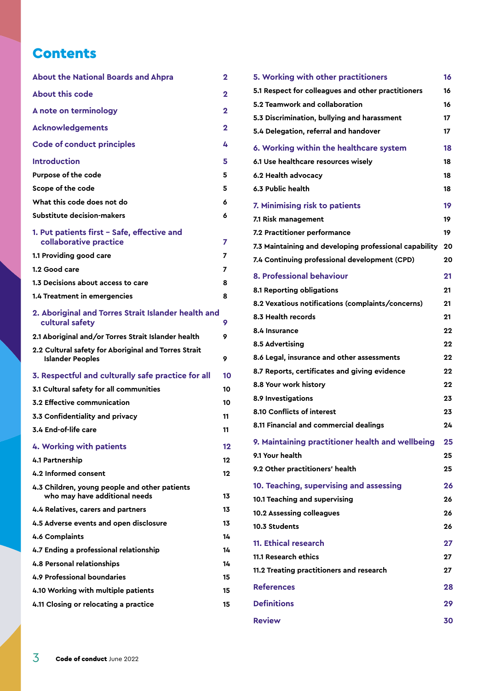### **Contents**

| <b>About the National Boards and Ahpra</b>                                      | 2  |
|---------------------------------------------------------------------------------|----|
| <b>About this code</b>                                                          | 2  |
| A note on terminology                                                           | 2  |
| <b>Acknowledgements</b>                                                         | 2  |
| <b>Code of conduct principles</b>                                               | 4  |
| <b>Introduction</b>                                                             | 5  |
| Purpose of the code                                                             | 5  |
| Scope of the code                                                               | 5  |
| What this code does not do                                                      | 6  |
| Substitute decision-makers                                                      | 6  |
| 1. Put patients first - Safe, effective and<br>collaborative practice           | 7  |
| 1.1 Providing good care                                                         | 7  |
| 1.2 Good care                                                                   | 7  |
| 1.3 Decisions about access to care                                              | 8  |
| 1.4 Treatment in emergencies                                                    | 8  |
| 2. Aboriginal and Torres Strait Islander health and<br>cultural safety          | 9  |
| 2.1 Aboriginal and/or Torres Strait Islander health                             | 9  |
| 2.2 Cultural safety for Aboriginal and Torres Strait<br><b>Islander Peoples</b> | 9  |
| 3. Respectful and culturally safe practice for all                              | 10 |
| 3.1 Cultural safety for all communities                                         | 10 |
| 3.2 Effective communication                                                     | 10 |
| 3.3 Confidentiality and privacy                                                 | 11 |
| 3.4 End-of-life care                                                            | 11 |
| 4. Working with patients                                                        | 12 |
| 4.1 Partnership                                                                 | 12 |
| 4.2 Informed consent                                                            | 12 |
| 4.3 Children, young people and other patients<br>who may have additional needs  | 13 |
| 4.4 Relatives, carers and partners                                              | 13 |
| 4.5 Adverse events and open disclosure                                          | 13 |
| 4.6 Complaints                                                                  | 14 |
| 4.7 Ending a professional relationship                                          | 14 |
| <b>4.8 Personal relationships</b>                                               | 14 |
| 4.9 Professional boundaries                                                     | 15 |
| 4.10 Working with multiple patients                                             | 15 |
| 4.11 Closing or relocating a practice                                           | 15 |
|                                                                                 |    |

| 5. Working with other practitioners                    | 16 |
|--------------------------------------------------------|----|
| 5.1 Respect for colleagues and other practitioners     | 16 |
| 5.2 Teamwork and collaboration                         | 16 |
| 5.3 Discrimination, bullying and harassment            | 17 |
| 5.4 Delegation, referral and handover                  | 17 |
| 6. Working within the healthcare system                | 18 |
| 6.1 Use healthcare resources wisely                    | 18 |
| 6.2 Health advocacy                                    | 18 |
| 6.3 Public health                                      | 18 |
| 7. Minimising risk to patients                         | 19 |
| 7.1 Risk management                                    | 19 |
| 7.2 Practitioner performance                           | 19 |
| 7.3 Maintaining and developing professional capability | 20 |
| 7.4 Continuing professional development (CPD)          | 20 |
| 8. Professional behaviour                              | 21 |
| 8.1 Reporting obligations                              | 21 |
| 8.2 Vexatious notifications (complaints/concerns)      | 21 |
| 8.3 Health records                                     | 21 |
| 8.4 Insurance                                          | 22 |
| 8.5 Advertising                                        | 22 |
| 8.6 Legal, insurance and other assessments             | 22 |
| 8.7 Reports, certificates and giving evidence          | 22 |
| 8.8 Your work history                                  | 22 |
| 8.9 Investigations                                     | 23 |
| 8.10 Conflicts of interest                             | 23 |
| 8.11 Financial and commercial dealings                 | 24 |
| 9. Maintaining practitioner health and wellbeing       | 25 |
| 9.1 Your health                                        | 25 |
| 9.2 Other practitioners' health                        | 25 |
| 10. Teaching, supervising and assessing                | 26 |
| 10.1 Teaching and supervising                          | 26 |
| <b>10.2 Assessing colleagues</b>                       | 26 |
| 10.3 Students                                          | 26 |
| <b>11. Ethical research</b>                            | 27 |
| 11.1 Research ethics                                   | 27 |
| 11.2 Treating practitioners and research               | 27 |
| <b>References</b>                                      | 28 |
| <b>Definitions</b>                                     | 29 |
| <b>Review</b>                                          | 30 |
|                                                        |    |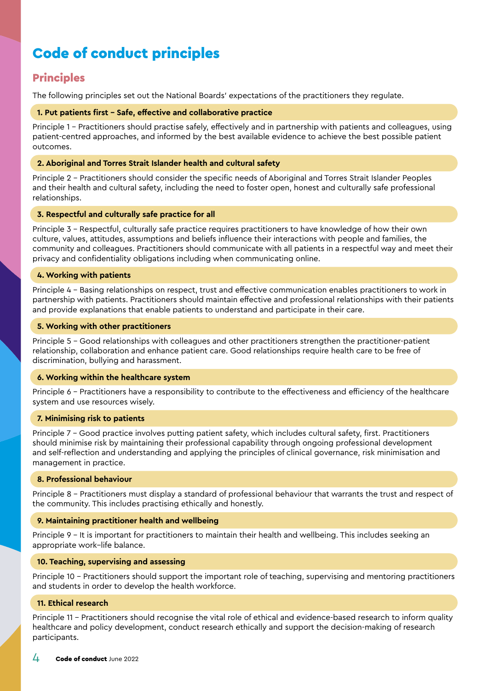## <span id="page-3-0"></span>Code of conduct principles

#### **Principles**

The following principles set out the National Boards' expectations of the practitioners they regulate.

#### **1. Put patients first – Safe, effective and collaborative practice**

Principle 1 – Practitioners should practise safely, effectively and in partnership with patients and colleagues, using patient-centred approaches, and informed by the best available evidence to achieve the best possible patient outcomes.

#### **2. Aboriginal and Torres Strait Islander health and cultural safety**

Principle 2 – Practitioners should consider the specific needs of Aboriginal and Torres Strait Islander Peoples and their health and cultural safety, including the need to foster open, honest and culturally safe professional relationships.

#### **3. Respectful and culturally safe practice for all**

Principle 3 – Respectful, culturally safe practice requires practitioners to have knowledge of how their own culture, values, attitudes, assumptions and beliefs influence their interactions with people and families, the community and colleagues. Practitioners should communicate with all patients in a respectful way and meet their privacy and confidentiality obligations including when communicating online.

#### **4. Working with patients**

Principle 4 – Basing relationships on respect, trust and effective communication enables practitioners to work in partnership with patients. Practitioners should maintain effective and professional relationships with their patients and provide explanations that enable patients to understand and participate in their care.

#### **5. Working with other practitioners**

Principle 5 – Good relationships with colleagues and other practitioners strengthen the practitioner-patient relationship, collaboration and enhance patient care. Good relationships require health care to be free of discrimination, bullying and harassment.

#### **6. Working within the healthcare system**

Principle 6 – Practitioners have a responsibility to contribute to the effectiveness and efficiency of the healthcare system and use resources wisely.

#### **7. Minimising risk to patients**

Principle 7 – Good practice involves putting patient safety, which includes cultural safety, first. Practitioners should minimise risk by maintaining their professional capability through ongoing professional development and self-reflection and understanding and applying the principles of clinical governance, risk minimisation and management in practice.

#### **8. Professional behaviour**

Principle 8 – Practitioners must display a standard of professional behaviour that warrants the trust and respect of the community. This includes practising ethically and honestly.

#### **9. Maintaining practitioner health and wellbeing**

Principle 9 – It is important for practitioners to maintain their health and wellbeing. This includes seeking an appropriate work–life balance.

#### **10. Teaching, supervising and assessing**

Principle 10 – Practitioners should support the important role of teaching, supervising and mentoring practitioners and students in order to develop the health workforce.

#### **11. Ethical research**

Principle 11 – Practitioners should recognise the vital role of ethical and evidence-based research to inform quality healthcare and policy development, conduct research ethically and support the decision-making of research participants.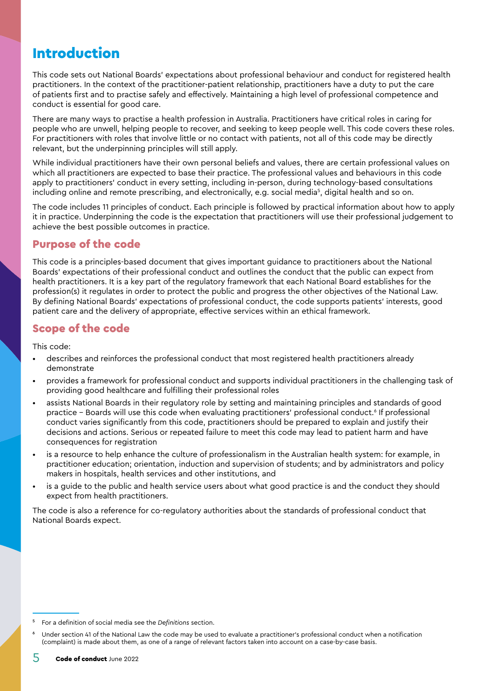## <span id="page-4-0"></span>Introduction

This code sets out National Boards' expectations about professional behaviour and conduct for registered health practitioners. In the context of the practitioner-patient relationship, practitioners have a duty to put the care of patients first and to practise safely and effectively. Maintaining a high level of professional competence and conduct is essential for good care.

There are many ways to practise a health profession in Australia. Practitioners have critical roles in caring for people who are unwell, helping people to recover, and seeking to keep people well. This code covers these roles. For practitioners with roles that involve little or no contact with patients, not all of this code may be directly relevant, but the underpinning principles will still apply.

While individual practitioners have their own personal beliefs and values, there are certain professional values on which all practitioners are expected to base their practice. The professional values and behaviours in this code apply to practitioners' conduct in every setting, including in-person, during technology-based consultations including online and remote prescribing, and electronically, e.g. social media<sup>s</sup>, digital health and so on.

The code includes 11 principles of conduct. Each principle is followed by practical information about how to apply it in practice. Underpinning the code is the expectation that practitioners will use their professional judgement to achieve the best possible outcomes in practice.

#### Purpose of the code

This code is a principles-based document that gives important guidance to practitioners about the National Boards' expectations of their professional conduct and outlines the conduct that the public can expect from health practitioners. It is a key part of the regulatory framework that each National Board establishes for the profession(s) it regulates in order to protect the public and progress the other objectives of the National Law. By defining National Boards' expectations of professional conduct, the code supports patients' interests, good patient care and the delivery of appropriate, effective services within an ethical framework.

#### Scope of the code

This code:

- describes and reinforces the professional conduct that most registered health practitioners already demonstrate
- provides a framework for professional conduct and supports individual practitioners in the challenging task of providing good healthcare and fulfilling their professional roles
- assists National Boards in their regulatory role by setting and maintaining principles and standards of good practice – Boards will use this code when evaluating practitioners' professional conduct.6 If professional conduct varies significantly from this code, practitioners should be prepared to explain and justify their decisions and actions. Serious or repeated failure to meet this code may lead to patient harm and have consequences for registration
- is a resource to help enhance the culture of professionalism in the Australian health system: for example, in practitioner education; orientation, induction and supervision of students; and by administrators and policy makers in hospitals, health services and other institutions, and
- is a guide to the public and health service users about what good practice is and the conduct they should expect from health practitioners.

The code is also a reference for co-regulatory authorities about the standards of professional conduct that National Boards expect.

<sup>5</sup> For a definition of social media see the *[Definitions](#page-28-0)* section.

Under section 41 of the National Law the code may be used to evaluate a practitioner's professional conduct when a notification (complaint) is made about them, as one of a range of relevant factors taken into account on a case-by-case basis.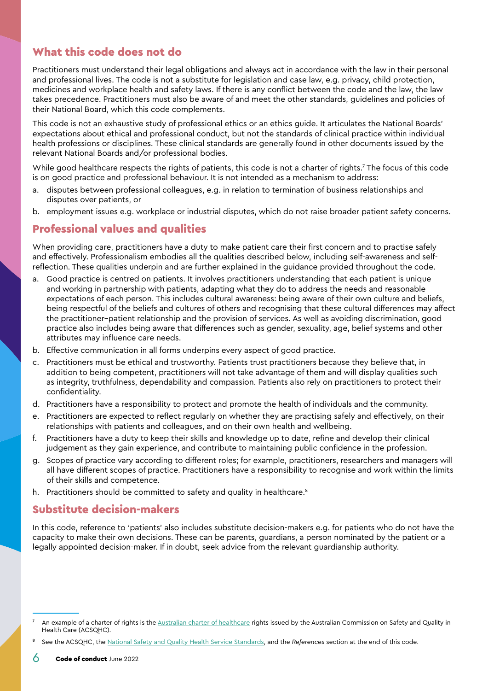#### <span id="page-5-0"></span>What this code does not do

Practitioners must understand their legal obligations and always act in accordance with the law in their personal and professional lives. The code is not a substitute for legislation and case law, e.g. privacy, child protection, medicines and workplace health and safety laws. If there is any conflict between the code and the law, the law takes precedence. Practitioners must also be aware of and meet the other standards, guidelines and policies of their National Board, which this code complements.

This code is not an exhaustive study of professional ethics or an ethics guide. It articulates the National Boards' expectations about ethical and professional conduct, but not the standards of clinical practice within individual health professions or disciplines. These clinical standards are generally found in other documents issued by the relevant National Boards and/or professional bodies.

While good healthcare respects the rights of patients, this code is not a charter of rights.7 The focus of this code is on good practice and professional behaviour. It is not intended as a mechanism to address:

- a. disputes between professional colleagues, e.g. in relation to termination of business relationships and disputes over patients, or
- b. employment issues e.g. workplace or industrial disputes, which do not raise broader patient safety concerns.

#### Professional values and qualities

When providing care, practitioners have a duty to make patient care their first concern and to practise safely and effectively. Professionalism embodies all the qualities described below, including self-awareness and selfreflection. These qualities underpin and are further explained in the guidance provided throughout the code.

- a. Good practice is centred on patients. It involves practitioners understanding that each patient is unique and working in partnership with patients, adapting what they do to address the needs and reasonable expectations of each person. This includes cultural awareness: being aware of their own culture and beliefs, being respectful of the beliefs and cultures of others and recognising that these cultural differences may affect the practitioner–patient relationship and the provision of services. As well as avoiding discrimination, good practice also includes being aware that differences such as gender, sexuality, age, belief systems and other attributes may influence care needs.
- b. Effective communication in all forms underpins every aspect of good practice.
- c. Practitioners must be ethical and trustworthy. Patients trust practitioners because they believe that, in addition to being competent, practitioners will not take advantage of them and will display qualities such as integrity, truthfulness, dependability and compassion. Patients also rely on practitioners to protect their confidentiality.
- d. Practitioners have a responsibility to protect and promote the health of individuals and the community.
- e. Practitioners are expected to reflect regularly on whether they are practising safely and effectively, on their relationships with patients and colleagues, and on their own health and wellbeing.
- f. Practitioners have a duty to keep their skills and knowledge up to date, refine and develop their clinical judgement as they gain experience, and contribute to maintaining public confidence in the profession.
- g. Scopes of practice vary according to different roles; for example, practitioners, researchers and managers will all have different scopes of practice. Practitioners have a responsibility to recognise and work within the limits of their skills and competence.
- h. Practitioners should be committed to safety and quality in healthcare.<sup>8</sup>

#### Substitute decision-makers

In this code, reference to 'patients' also includes substitute decision-makers e.g. for patients who do not have the capacity to make their own decisions. These can be parents, guardians, a person nominated by the patient or a legally appointed decision-maker. If in doubt, seek advice from the relevant guardianship authority.

An example of a charter of rights is the [Australian charter of healthcare](https://www.safetyandquality.gov.au/consumers/working-your-healthcare-provider/australian-charter-healthcare-rights/supportive-resources-second-edition-australian-charter-healthcare-rights) rights issued by the Australian Commission on Safety and Quality in Health Care (ACSQHC).

<sup>8</sup> See the ACSQHC, the [National Safety and Quality Health Service Standards](https://www.safetyandquality.gov.au/standards/nsqhs-standards), and the *[References](#page-27-1)* section at the end of this code.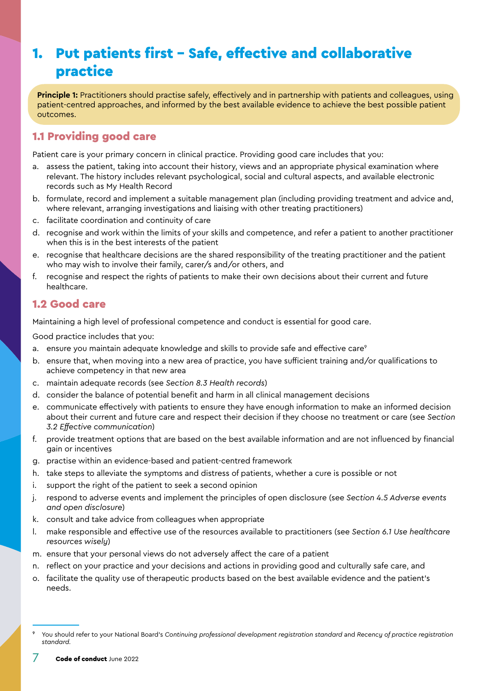## <span id="page-6-0"></span>1. Put patients first – Safe, effective and collaborative practice

**Principle 1:** Practitioners should practise safely, effectively and in partnership with patients and colleagues, using patient-centred approaches, and informed by the best available evidence to achieve the best possible patient outcomes.

#### 1.1 Providing good care

Patient care is your primary concern in clinical practice. Providing good care includes that you:

- a. assess the patient, taking into account their history, views and an appropriate physical examination where relevant. The history includes relevant psychological, social and cultural aspects, and available electronic records such as My Health Record
- b. formulate, record and implement a suitable management plan (including providing treatment and advice and, where relevant, arranging investigations and liaising with other treating practitioners)
- c. facilitate coordination and continuity of care
- d. recognise and work within the limits of your skills and competence, and refer a patient to another practitioner when this is in the best interests of the patient
- e. recognise that healthcare decisions are the shared responsibility of the treating practitioner and the patient who may wish to involve their family, carer/s and/or others, and
- f. recognise and respect the rights of patients to make their own decisions about their current and future healthcare.

#### 1.2 Good care

Maintaining a high level of professional competence and conduct is essential for good care.

- a. ensure you maintain adequate knowledge and skills to provide safe and effective care<sup>9</sup>
- b. ensure that, when moving into a new area of practice, you have sufficient training and/or qualifications to achieve competency in that new area
- c. maintain adequate records (see *Section [8.3 Health records](#page-20-1)*)
- d. consider the balance of potential benefit and harm in all clinical management decisions
- e. communicate effectively with patients to ensure they have enough information to make an informed decision about their current and future care and respect their decision if they choose no treatment or care (see *Section [3.2 Effective communication](#page-9-1)*)
- f. provide treatment options that are based on the best available information and are not influenced by financial gain or incentives
- g. practise within an evidence-based and patient-centred framework
- h. take steps to alleviate the symptoms and distress of patients, whether a cure is possible or not
- i. support the right of the patient to seek a second opinion
- j. respond to adverse events and implement the principles of open disclosure (see *Section [4.5 Adverse events](#page-12-1)  [and open disclosure](#page-12-1)*)
- k. consult and take advice from colleagues when appropriate
- l. make responsible and effective use of the resources available to practitioners (see *Section [6.1 Use healthcare](#page-17-1)  [resources wisely](#page-17-1)*)
- m. ensure that your personal views do not adversely affect the care of a patient
- n. reflect on your practice and your decisions and actions in providing good and culturally safe care, and
- o. facilitate the quality use of therapeutic products based on the best available evidence and the patient's needs.

<sup>9</sup> You should refer to your National Board's *Continuing professional development registration standard* and *Recency of practice registration standard.*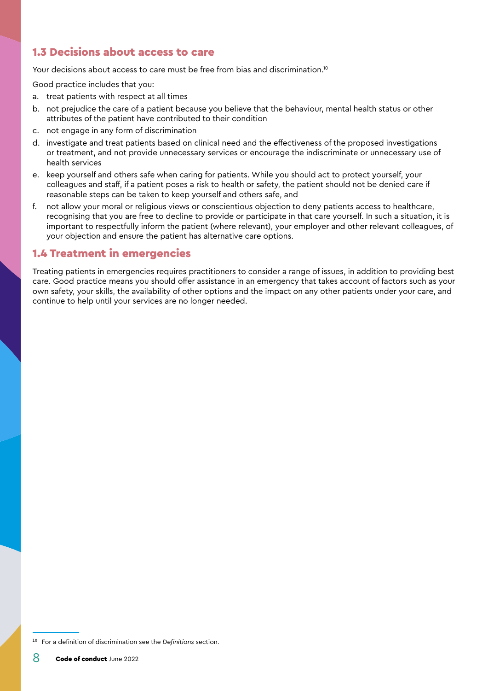#### <span id="page-7-0"></span>1.3 Decisions about access to care

Your decisions about access to care must be free from bias and discrimination.<sup>10</sup>

Good practice includes that you:

- a. treat patients with respect at all times
- b. not prejudice the care of a patient because you believe that the behaviour, mental health status or other attributes of the patient have contributed to their condition
- c. not engage in any form of discrimination
- d. investigate and treat patients based on clinical need and the effectiveness of the proposed investigations or treatment, and not provide unnecessary services or encourage the indiscriminate or unnecessary use of health services
- e. keep yourself and others safe when caring for patients. While you should act to protect yourself, your colleagues and staff, if a patient poses a risk to health or safety, the patient should not be denied care if reasonable steps can be taken to keep yourself and others safe, and
- f. not allow your moral or religious views or conscientious objection to deny patients access to healthcare, recognising that you are free to decline to provide or participate in that care yourself. In such a situation, it is important to respectfully inform the patient (where relevant), your employer and other relevant colleagues, of your objection and ensure the patient has alternative care options.

#### 1.4 Treatment in emergencies

Treating patients in emergencies requires practitioners to consider a range of issues, in addition to providing best care. Good practice means you should offer assistance in an emergency that takes account of factors such as your own safety, your skills, the availability of other options and the impact on any other patients under your care, and continue to help until your services are no longer needed.

<sup>10</sup> For a definition of discrimination see the *[Definitions](#page-28-0)* section.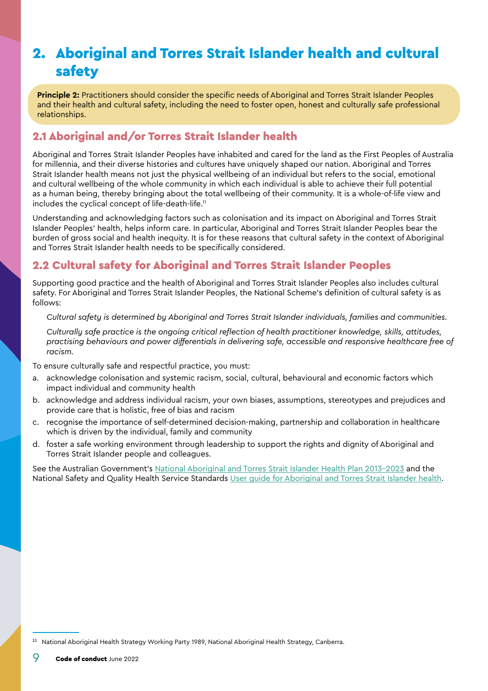## <span id="page-8-1"></span><span id="page-8-0"></span>2. Aboriginal and Torres Strait Islander health and cultural safety

**Principle 2:** Practitioners should consider the specific needs of Aboriginal and Torres Strait Islander Peoples and their health and cultural safety, including the need to foster open, honest and culturally safe professional relationships.

#### 2.1 Aboriginal and/or Torres Strait Islander health

Aboriginal and Torres Strait Islander Peoples have inhabited and cared for the land as the First Peoples of Australia for millennia, and their diverse histories and cultures have uniquely shaped our nation. Aboriginal and Torres Strait Islander health means not just the physical wellbeing of an individual but refers to the social, emotional and cultural wellbeing of the whole community in which each individual is able to achieve their full potential as a human being, thereby bringing about the total wellbeing of their community. It is a whole-of-life view and includes the cyclical concept of life-death-life.<sup>11</sup>

Understanding and acknowledging factors such as colonisation and its impact on Aboriginal and Torres Strait Islander Peoples' health, helps inform care. In particular, Aboriginal and Torres Strait Islander Peoples bear the burden of gross social and health inequity. It is for these reasons that cultural safety in the context of Aboriginal and Torres Strait Islander health needs to be specifically considered.

#### 2.2 Cultural safety for Aboriginal and Torres Strait Islander Peoples

Supporting good practice and the health of Aboriginal and Torres Strait Islander Peoples also includes cultural safety. For Aboriginal and Torres Strait Islander Peoples, the National Scheme's definition of cultural safety is as follows:

*Cultural safety is determined by Aboriginal and Torres Strait Islander individuals, families and communities.* 

*Culturally safe practice is the ongoing critical reflection of health practitioner knowledge, skills, attitudes, practising behaviours and power differentials in delivering safe, accessible and responsive healthcare free of racism.*

To ensure culturally safe and respectful practice, you must:

- a. acknowledge colonisation and systemic racism, social, cultural, behavioural and economic factors which impact individual and community health
- b. acknowledge and address individual racism, your own biases, assumptions, stereotypes and prejudices and provide care that is holistic, free of bias and racism
- c. recognise the importance of self-determined decision-making, partnership and collaboration in healthcare which is driven by the individual, family and community
- d. foster a safe working environment through leadership to support the rights and dignity of Aboriginal and Torres Strait Islander people and colleagues.

See the Australian Government's [National Aboriginal and Torres Strait Islander Health Plan 2013-2023](https://www.health.gov.au/resources/publications/national-aboriginal-and-torres-strait-islander-health-plan-2013-2023) and the National Safety and Quality Health Service Standards [User guide for Aboriginal and Torres Strait Islander health.](https://www.safetyandquality.gov.au/publications-and-resources/resource-library/nsqhs-standards-user-guide-aboriginal-and-torres-strait-islander-health)

<sup>&</sup>lt;sup>11</sup> National Aboriginal Health Strategy Working Party 1989, National Aboriginal Health Strategy, Canberra.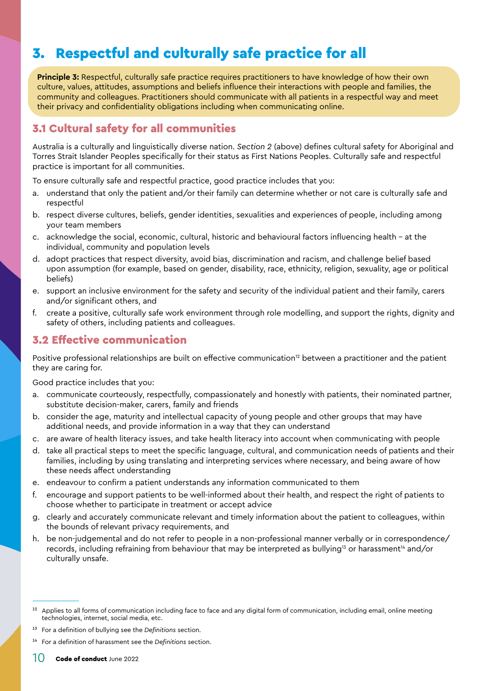## <span id="page-9-2"></span><span id="page-9-0"></span>3. Respectful and culturally safe practice for all

**Principle 3:** Respectful, culturally safe practice requires practitioners to have knowledge of how their own culture, values, attitudes, assumptions and beliefs influence their interactions with people and families, the community and colleagues. Practitioners should communicate with all patients in a respectful way and meet their privacy and confidentiality obligations including when communicating online.

#### 3.1 Cultural safety for all communities

Australia is a culturally and linguistically diverse nation. *Section 2* (above) defines cultural safety for Aboriginal and Torres Strait Islander Peoples specifically for their status as First Nations Peoples. Culturally safe and respectful practice is important for all communities.

To ensure culturally safe and respectful practice, good practice includes that you:

- a. understand that only the patient and/or their family can determine whether or not care is culturally safe and respectful
- b. respect diverse cultures, beliefs, gender identities, sexualities and experiences of people, including among your team members
- c. acknowledge the social, economic, cultural, historic and behavioural factors influencing health at the individual, community and population levels
- d. adopt practices that respect diversity, avoid bias, discrimination and racism, and challenge belief based upon assumption (for example, based on gender, disability, race, ethnicity, religion, sexuality, age or political beliefs)
- e. support an inclusive environment for the safety and security of the individual patient and their family, carers and/or significant others, and
- f. create a positive, culturally safe work environment through role modelling, and support the rights, dignity and safety of others, including patients and colleagues.

#### <span id="page-9-1"></span>3.2 Effective communication

Positive professional relationships are built on effective communication<sup>12</sup> between a practitioner and the patient they are caring for.

- a. communicate courteously, respectfully, compassionately and honestly with patients, their nominated partner, substitute decision-maker, carers, family and friends
- b. consider the age, maturity and intellectual capacity of young people and other groups that may have additional needs, and provide information in a way that they can understand
- c. are aware of health literacy issues, and take health literacy into account when communicating with people
- d. take all practical steps to meet the specific language, cultural, and communication needs of patients and their families, including by using translating and interpreting services where necessary, and being aware of how these needs affect understanding
- e. endeavour to confirm a patient understands any information communicated to them
- f. encourage and support patients to be well-informed about their health, and respect the right of patients to choose whether to participate in treatment or accept advice
- g. clearly and accurately communicate relevant and timely information about the patient to colleagues, within the bounds of relevant privacy requirements, and
- h. be non-judgemental and do not refer to people in a non-professional manner verbally or in correspondence/ records, including refraining from behaviour that may be interpreted as bullying<sup>13</sup> or harassment<sup>14</sup> and/or culturally unsafe.

<sup>&</sup>lt;sup>12</sup> Applies to all forms of communication including face to face and any digital form of communication, including email, online meeting technologies, internet, social media, etc.

<sup>13</sup> For a definition of bullying see the *[Definitions](#page-28-0)* section.

<sup>14</sup> For a definition of harassment see the *[Definitions](#page-28-0)* section.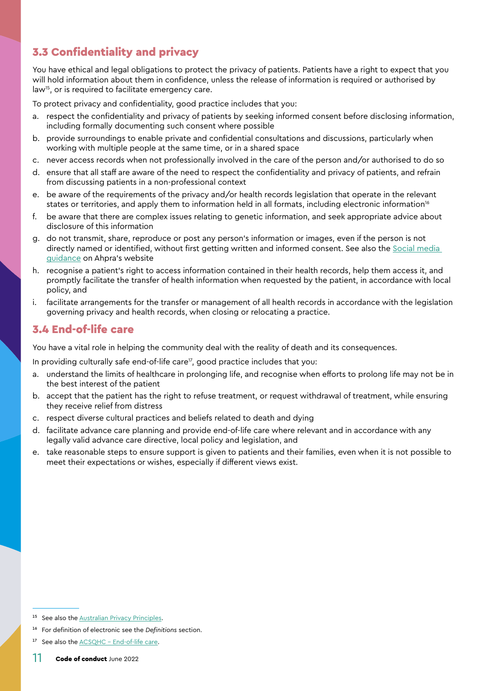#### <span id="page-10-0"></span>3.3 Confidentiality and privacy

You have ethical and legal obligations to protect the privacy of patients. Patients have a right to expect that you will hold information about them in confidence, unless the release of information is required or authorised by law<sup>15</sup>, or is required to facilitate emergency care.

To protect privacy and confidentiality, good practice includes that you:

- a. respect the confidentiality and privacy of patients by seeking informed consent before disclosing information, including formally documenting such consent where possible
- b. provide surroundings to enable private and confidential consultations and discussions, particularly when working with multiple people at the same time, or in a shared space
- never access records when not professionally involved in the care of the person and/or authorised to do so
- d. ensure that all staff are aware of the need to respect the confidentiality and privacy of patients, and refrain from discussing patients in a non-professional context
- e. be aware of the requirements of the privacy and/or health records legislation that operate in the relevant states or territories, and apply them to information held in all formats, including electronic information<sup>16</sup>
- f. be aware that there are complex issues relating to genetic information, and seek appropriate advice about disclosure of this information
- g. do not transmit, share, reproduce or post any person's information or images, even if the person is not directly named or identified, without first getting written and informed consent. See also the [Social media](https://www.ahpra.gov.au/Publications/Social-media-guidance.aspx)  [guidance](https://www.ahpra.gov.au/Publications/Social-media-guidance.aspx) on Ahpra's website
- h. recognise a patient's right to access information contained in their health records, help them access it, and promptly facilitate the transfer of health information when requested by the patient, in accordance with local policy, and
- i. facilitate arrangements for the transfer or management of all health records in accordance with the legislation governing privacy and health records, when closing or relocating a practice.

#### 3.4 End-of-life care

You have a vital role in helping the community deal with the reality of death and its consequences.

In providing culturally safe end-of-life care $\frac{1}{7}$ , good practice includes that you:

- a. understand the limits of healthcare in prolonging life, and recognise when efforts to prolong life may not be in the best interest of the patient
- b. accept that the patient has the right to refuse treatment, or request withdrawal of treatment, while ensuring they receive relief from distress
- c. respect diverse cultural practices and beliefs related to death and dying
- d. facilitate advance care planning and provide end-of-life care where relevant and in accordance with any legally valid advance care directive, local policy and legislation, and
- e. take reasonable steps to ensure support is given to patients and their families, even when it is not possible to meet their expectations or wishes, especially if different views exist.

<sup>&</sup>lt;sup>15</sup> See also the **Australian Privacy Principles**.

<sup>16</sup> For definition of electronic see the *[Definitions](#page-28-0)* section.

<sup>&</sup>lt;sup>17</sup> See also the [ACSQHC - End-of-life care](https://www.safetyandquality.gov.au/our-work/end-of-life-care-in-acute-hospitals/).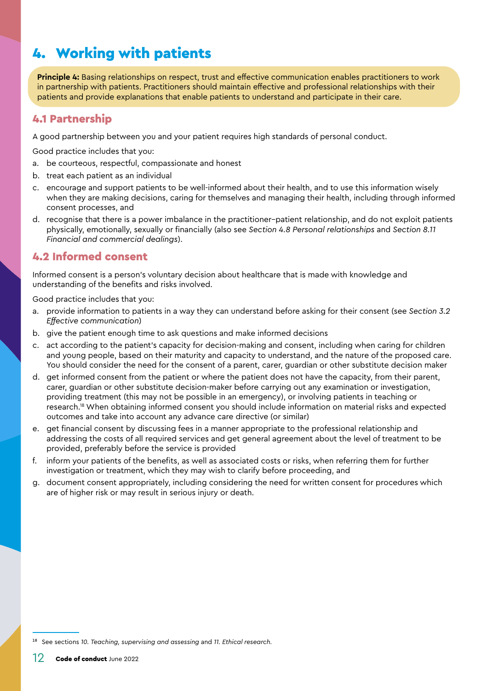## <span id="page-11-0"></span>4. Working with patients

**Principle 4:** Basing relationships on respect, trust and effective communication enables practitioners to work in partnership with patients. Practitioners should maintain effective and professional relationships with their patients and provide explanations that enable patients to understand and participate in their care.

#### 4.1 Partnership

A good partnership between you and your patient requires high standards of personal conduct.

Good practice includes that you:

- a. be courteous, respectful, compassionate and honest
- b. treat each patient as an individual
- c. encourage and support patients to be well-informed about their health, and to use this information wisely when they are making decisions, caring for themselves and managing their health, including through informed consent processes, and
- d. recognise that there is a power imbalance in the practitioner–patient relationship, and do not exploit patients physically, emotionally, sexually or financially (also see *Section [4.8 Personal relationships](#page-13-1)* and *Section [8.11](#page-23-1)  [Financial and commercial dealings](#page-23-1)*).

#### 4.2 Informed consent

Informed consent is a person's voluntary decision about healthcare that is made with knowledge and understanding of the benefits and risks involved.

- a. provide information to patients in a way they can understand before asking for their consent (see *Section [3.2](#page-9-1)  [Effective communication](#page-9-1)*)
- b. give the patient enough time to ask questions and make informed decisions
- c. act according to the patient's capacity for decision-making and consent, including when caring for children and young people, based on their maturity and capacity to understand, and the nature of the proposed care. You should consider the need for the consent of a parent, carer, guardian or other substitute decision maker
- d. get informed consent from the patient or where the patient does not have the capacity, from their parent, carer, guardian or other substitute decision-maker before carrying out any examination or investigation, providing treatment (this may not be possible in an emergency), or involving patients in teaching or research.18 When obtaining informed consent you should include information on material risks and expected outcomes and take into account any advance care directive (or similar)
- e. get financial consent by discussing fees in a manner appropriate to the professional relationship and addressing the costs of all required services and get general agreement about the level of treatment to be provided, preferably before the service is provided
- f. inform your patients of the benefits, as well as associated costs or risks, when referring them for further investigation or treatment, which they may wish to clarify before proceeding, and
- g. document consent appropriately, including considering the need for written consent for procedures which are of higher risk or may result in serious injury or death.

<sup>18</sup> See sections *[10. Teaching, supervising and assessing](#page-25-1)* and *[11. Ethical research.](#page-26-1)*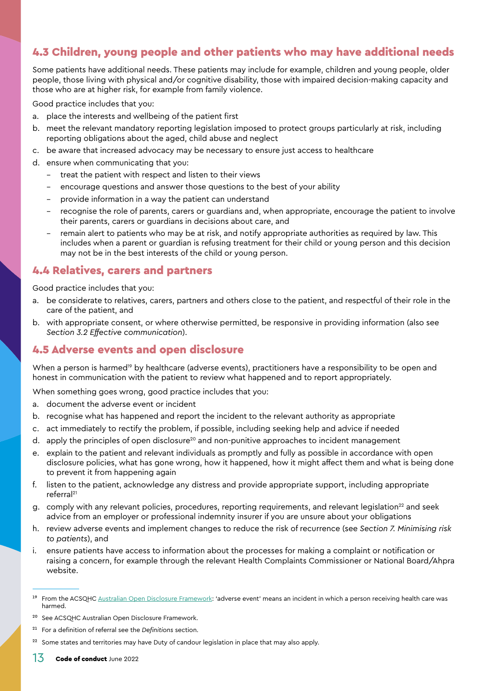#### <span id="page-12-0"></span>4.3 Children, young people and other patients who may have additional needs

Some patients have additional needs. These patients may include for example, children and young people, older people, those living with physical and/or cognitive disability, those with impaired decision-making capacity and those who are at higher risk, for example from family violence.

Good practice includes that you:

- a. place the interests and wellbeing of the patient first
- b. meet the relevant mandatory reporting legislation imposed to protect groups particularly at risk, including reporting obligations about the aged, child abuse and neglect
- c. be aware that increased advocacy may be necessary to ensure just access to healthcare
- d. ensure when communicating that you:
	- treat the patient with respect and listen to their views
	- encourage questions and answer those questions to the best of your ability
	- provide information in a way the patient can understand
	- recognise the role of parents, carers or guardians and, when appropriate, encourage the patient to involve their parents, carers or guardians in decisions about care, and
	- remain alert to patients who may be at risk, and notify appropriate authorities as required by law. This includes when a parent or guardian is refusing treatment for their child or young person and this decision may not be in the best interests of the child or young person.

#### 4.4 Relatives, carers and partners

Good practice includes that you:

- a. be considerate to relatives, carers, partners and others close to the patient, and respectful of their role in the care of the patient, and
- b. with appropriate consent, or where otherwise permitted, be responsive in providing information (also see *Section [3.2 Effective communication](#page-9-1)*).

#### <span id="page-12-1"></span>4.5 Adverse events and open disclosure

When a person is harmed<sup>19</sup> by healthcare (adverse events), practitioners have a responsibility to be open and honest in communication with the patient to review what happened and to report appropriately.

When something goes wrong, good practice includes that you:

- a. document the adverse event or incident
- b. recognise what has happened and report the incident to the relevant authority as appropriate
- c. act immediately to rectify the problem, if possible, including seeking help and advice if needed
- d. apply the principles of open disclosure<sup>20</sup> and non-punitive approaches to incident management
- e. explain to the patient and relevant individuals as promptly and fully as possible in accordance with open disclosure policies, what has gone wrong, how it happened, how it might affect them and what is being done to prevent it from happening again
- f. listen to the patient, acknowledge any distress and provide appropriate support, including appropriate referral21
- g. comply with any relevant policies, procedures, reporting requirements, and relevant legislation<sup>22</sup> and seek advice from an employer or professional indemnity insurer if you are unsure about your obligations
- h. review adverse events and implement changes to reduce the risk of recurrence (see *Section [7. Minimising risk](#page-18-1)  [to patients](#page-18-1)*), and
- i. ensure patients have access to information about the processes for making a complaint or notification or raising a concern, for example through the relevant Health Complaints Commissioner or National Board/Ahpra website.

- 21 For a definition of referral see the *[Definitions](#page-28-0)* section.
- <sup>22</sup> Some states and territories may have Duty of candour legislation in place that may also apply.

<sup>&</sup>lt;sup>19</sup> From the ACSQHC [Australian Open Disclosure Framework:](https://www.safetyandquality.gov.au/our-work/open-disclosure/the-open-disclosure-framework) 'adverse event' means an incident in which a person receiving health care was harmed.

<sup>20</sup> See ACSQHC Australian Open Disclosure Framework.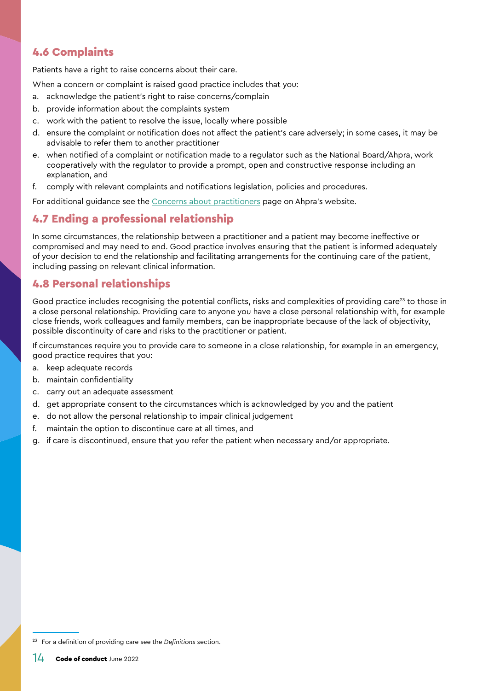#### <span id="page-13-0"></span>4.6 Complaints

Patients have a right to raise concerns about their care.

When a concern or complaint is raised good practice includes that you:

- a. acknowledge the patient's right to raise concerns/complain
- b. provide information about the complaints system
- c. work with the patient to resolve the issue, locally where possible
- d. ensure the complaint or notification does not affect the patient's care adversely; in some cases, it may be advisable to refer them to another practitioner
- e. when notified of a complaint or notification made to a regulator such as the National Board/Ahpra, work cooperatively with the regulator to provide a prompt, open and constructive response including an explanation, and
- f. comply with relevant complaints and notifications legislation, policies and procedures.

For additional guidance see the [Concerns about practitioners](https://www.ahpra.gov.au/Notifications.aspx) page on Ahpra's website.

#### 4.7 Ending a professional relationship

In some circumstances, the relationship between a practitioner and a patient may become ineffective or compromised and may need to end. Good practice involves ensuring that the patient is informed adequately of your decision to end the relationship and facilitating arrangements for the continuing care of the patient, including passing on relevant clinical information.

#### <span id="page-13-1"></span>4.8 Personal relationships

Good practice includes recognising the potential conflicts, risks and complexities of providing care<sup>23</sup> to those in a close personal relationship. Providing care to anyone you have a close personal relationship with, for example close friends, work colleagues and family members, can be inappropriate because of the lack of objectivity, possible discontinuity of care and risks to the practitioner or patient.

If circumstances require you to provide care to someone in a close relationship, for example in an emergency, good practice requires that you:

- a. keep adequate records
- b. maintain confidentiality
- c. carry out an adequate assessment
- d. get appropriate consent to the circumstances which is acknowledged by you and the patient
- e. do not allow the personal relationship to impair clinical judgement
- f. maintain the option to discontinue care at all times, and
- g. if care is discontinued, ensure that you refer the patient when necessary and/or appropriate.

<sup>23</sup> For a definition of providing care see the *[Definitions](#page-28-0)* section.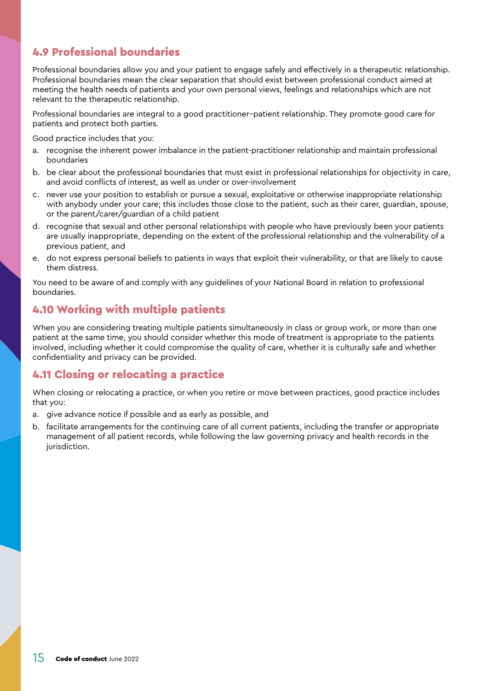#### <span id="page-14-0"></span>4.9 Professional boundaries

Professional boundaries allow you and your patient to engage safely and effectively in a therapeutic relationship. Professional boundaries mean the clear separation that should exist between professional conduct aimed at meeting the health needs of patients and your own personal views, feelings and relationships which are not relevant to the therapeutic relationship.

Professional boundaries are integral to a good practitioner–patient relationship. They promote good care for patients and protect both parties.

Good practice includes that you:

- a. recognise the inherent power imbalance in the patient-practitioner relationship and maintain professional boundaries
- b. be clear about the professional boundaries that must exist in professional relationships for objectivity in care, and avoid conflicts of interest, as well as under or over-involvement
- c. never use your position to establish or pursue a sexual, exploitative or otherwise inappropriate relationship with anybody under your care; this includes those close to the patient, such as their carer, guardian, spouse, or the parent/carer/guardian of a child patient
- d. recognise that sexual and other personal relationships with people who have previously been your patients are usually inappropriate, depending on the extent of the professional relationship and the vulnerability of a previous patient, and
- e. do not express personal beliefs to patients in ways that exploit their vulnerability, or that are likely to cause them distress.

You need to be aware of and comply with any guidelines of your National Board in relation to professional boundaries.

#### 4.10 Working with multiple patients

When you are considering treating multiple patients simultaneously in class or group work, or more than one patient at the same time, you should consider whether this mode of treatment is appropriate to the patients involved, including whether it could compromise the quality of care, whether it is culturally safe and whether confidentiality and privacy can be provided.

#### 4.11 Closing or relocating a practice

When closing or relocating a practice, or when you retire or move between practices, good practice includes that you:

- a. give advance notice if possible and as early as possible, and
- b. facilitate arrangements for the continuing care of all current patients, including the transfer or appropriate management of all patient records, while following the law governing privacy and health records in the jurisdiction.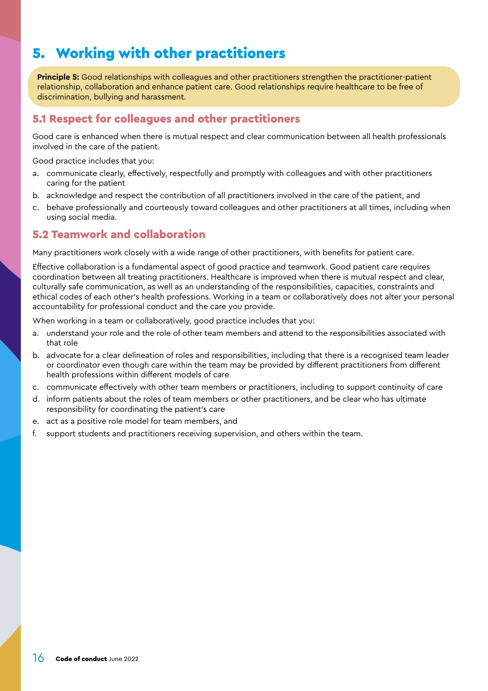## <span id="page-15-0"></span>5. Working with other practitioners

**Principle 5:** Good relationships with colleagues and other practitioners strengthen the practitioner-patient relationship, collaboration and enhance patient care. Good relationships require healthcare to be free of discrimination, bullying and harassment.

#### 5.1 Respect for colleagues and other practitioners

Good care is enhanced when there is mutual respect and clear communication between all health professionals involved in the care of the patient.

Good practice includes that you:

- a. communicate clearly, effectively, respectfully and promptly with colleagues and with other practitioners caring for the patient
- b. acknowledge and respect the contribution of all practitioners involved in the care of the patient, and
- c. behave professionally and courteously toward colleagues and other practitioners at all times, including when using social media.

#### 5.2 Teamwork and collaboration

Many practitioners work closely with a wide range of other practitioners, with benefits for patient care.

Effective collaboration is a fundamental aspect of good practice and teamwork. Good patient care requires coordination between all treating practitioners. Healthcare is improved when there is mutual respect and clear, culturally safe communication, as well as an understanding of the responsibilities, capacities, constraints and ethical codes of each other's health professions. Working in a team or collaboratively does not alter your personal accountability for professional conduct and the care you provide.

When working in a team or collaboratively, good practice includes that you:

- understand your role and the role of other team members and attend to the responsibilities associated with that role
- b. advocate for a clear delineation of roles and responsibilities, including that there is a recognised team leader or coordinator even though care within the team may be provided by different practitioners from different health professions within different models of care
- c. communicate effectively with other team members or practitioners, including to support continuity of care
- d. inform patients about the roles of team members or other practitioners, and be clear who has ultimate responsibility for coordinating the patient's care
- e. act as a positive role model for team members, and
- f. support students and practitioners receiving supervision, and others within the team.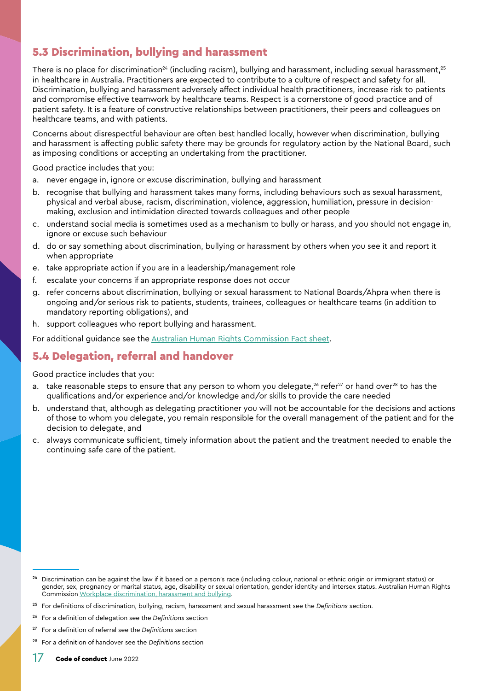#### <span id="page-16-0"></span>5.3 Discrimination, bullying and harassment

There is no place for discrimination<sup>24</sup> (including racism), bullying and harassment, including sexual harassment,<sup>25</sup> in healthcare in Australia. Practitioners are expected to contribute to a culture of respect and safety for all. Discrimination, bullying and harassment adversely affect individual health practitioners, increase risk to patients and compromise effective teamwork by healthcare teams. Respect is a cornerstone of good practice and of patient safety. It is a feature of constructive relationships between practitioners, their peers and colleagues on healthcare teams, and with patients.

Concerns about disrespectful behaviour are often best handled locally, however when discrimination, bullying and harassment is affecting public safety there may be grounds for regulatory action by the National Board, such as imposing conditions or accepting an undertaking from the practitioner.

Good practice includes that you:

- a. never engage in, ignore or excuse discrimination, bullying and harassment
- b. recognise that bullying and harassment takes many forms, including behaviours such as sexual harassment, physical and verbal abuse, racism, discrimination, violence, aggression, humiliation, pressure in decisionmaking, exclusion and intimidation directed towards colleagues and other people
- c. understand social media is sometimes used as a mechanism to bully or harass, and you should not engage in, ignore or excuse such behaviour
- d. do or say something about discrimination, bullying or harassment by others when you see it and report it when appropriate
- e. take appropriate action if you are in a leadership/management role
- f. escalate your concerns if an appropriate response does not occur
- g. refer concerns about discrimination, bullying or sexual harassment to National Boards/Ahpra when there is ongoing and/or serious risk to patients, students, trainees, colleagues or healthcare teams (in addition to mandatory reporting obligations), and
- h. support colleagues who report bullying and harassment.

For additional guidance see the [Australian Human Rights Commission Fact sheet](https://humanrights.gov.au/workplace-bullying-violence-harassment-and-bullying-fact-sheet).

#### 5.4 Delegation, referral and handover

- take reasonable steps to ensure that any person to whom you delegate,<sup>26</sup> refer<sup>27</sup> or hand over<sup>28</sup> to has the qualifications and/or experience and/or knowledge and/or skills to provide the care needed
- b. understand that, although as delegating practitioner you will not be accountable for the decisions and actions of those to whom you delegate, you remain responsible for the overall management of the patient and for the decision to delegate, and
- c. always communicate sufficient, timely information about the patient and the treatment needed to enable the continuing safe care of the patient.

<sup>24</sup> Discrimination can be against the law if it based on a person's race (including colour, national or ethnic origin or immigrant status) or gender, sex, pregnancy or marital status, age, disability or sexual orientation, gender identity and intersex status. Australian Human Rights Commission [Workplace discrimination, harassment and bullying.](https://humanrights.gov.au/our-work/employers/workplace-discrimination-harassment-and-bullying)

<sup>25</sup> For definitions of discrimination, bullying, racism, harassment and sexual harassment see the *[Definitions](#page-28-0)* section.

<sup>26</sup> For a definition of delegation see the *[Definitions](#page-28-0)* section

<sup>27</sup> For a definition of referral see the *[Definitions](#page-28-0)* section

<sup>28</sup> For a definition of handover see the *[Definitions](#page-28-0)* section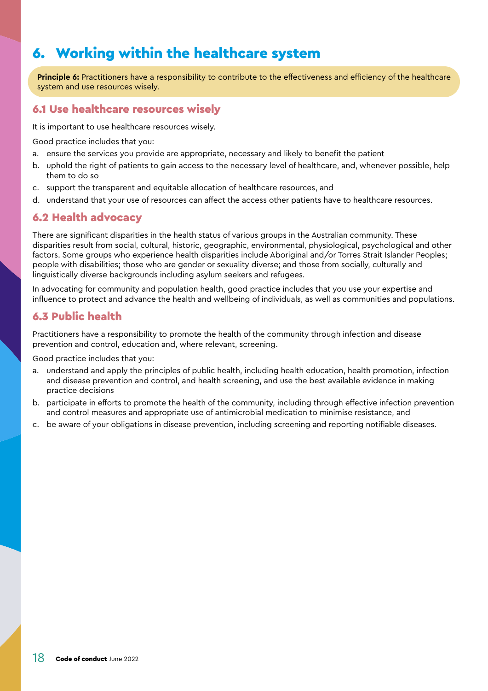## <span id="page-17-0"></span>6. Working within the healthcare system

**Principle 6:** Practitioners have a responsibility to contribute to the effectiveness and efficiency of the healthcare system and use resources wisely.

#### <span id="page-17-1"></span>6.1 Use healthcare resources wisely

It is important to use healthcare resources wisely.

Good practice includes that you:

- a. ensure the services you provide are appropriate, necessary and likely to benefit the patient
- b. uphold the right of patients to gain access to the necessary level of healthcare, and, whenever possible, help them to do so
- c. support the transparent and equitable allocation of healthcare resources, and
- d. understand that your use of resources can affect the access other patients have to healthcare resources.

#### 6.2 Health advocacy

There are significant disparities in the health status of various groups in the Australian community. These disparities result from social, cultural, historic, geographic, environmental, physiological, psychological and other factors. Some groups who experience health disparities include Aboriginal and/or Torres Strait Islander Peoples; people with disabilities; those who are gender or sexuality diverse; and those from socially, culturally and linguistically diverse backgrounds including asylum seekers and refugees.

In advocating for community and population health, good practice includes that you use your expertise and influence to protect and advance the health and wellbeing of individuals, as well as communities and populations.

#### 6.3 Public health

Practitioners have a responsibility to promote the health of the community through infection and disease prevention and control, education and, where relevant, screening.

- a. understand and apply the principles of public health, including health education, health promotion, infection and disease prevention and control, and health screening, and use the best available evidence in making practice decisions
- b. participate in efforts to promote the health of the community, including through effective infection prevention and control measures and appropriate use of antimicrobial medication to minimise resistance, and
- c. be aware of your obligations in disease prevention, including screening and reporting notifiable diseases.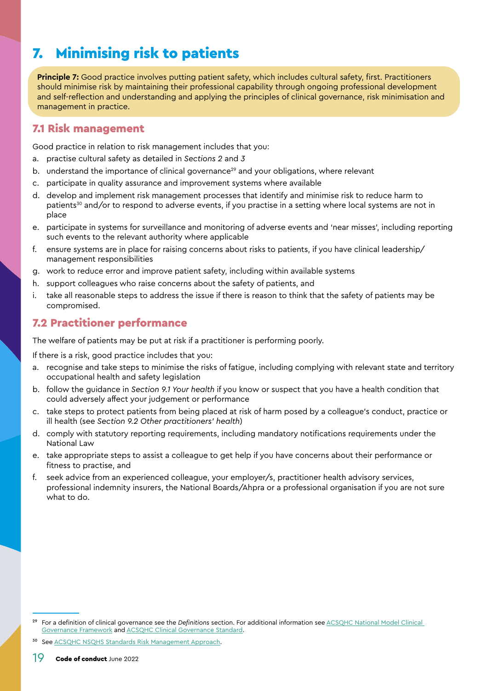## <span id="page-18-1"></span><span id="page-18-0"></span>7. Minimising risk to patients

**Principle 7:** Good practice involves putting patient safety, which includes cultural safety, first. Practitioners should minimise risk by maintaining their professional capability through ongoing professional development and self-reflection and understanding and applying the principles of clinical governance, risk minimisation and management in practice.

#### 7.1 Risk management

Good practice in relation to risk management includes that you:

- a. practise cultural safety as detailed in *Sections [2](#page-8-1)* and *[3](#page-9-2)*
- b. understand the importance of clinical governance<sup>29</sup> and your obligations, where relevant
- participate in quality assurance and improvement systems where available
- d. develop and implement risk management processes that identify and minimise risk to reduce harm to patients<sup>30</sup> and/or to respond to adverse events, if you practise in a setting where local systems are not in place
- e. participate in systems for surveillance and monitoring of adverse events and 'near misses', including reporting such events to the relevant authority where applicable
- f. ensure systems are in place for raising concerns about risks to patients, if you have clinical leadership/ management responsibilities
- g. work to reduce error and improve patient safety, including within available systems
- h. support colleagues who raise concerns about the safety of patients, and
- i. take all reasonable steps to address the issue if there is reason to think that the safety of patients may be compromised.

#### 7.2 Practitioner performance

The welfare of patients may be put at risk if a practitioner is performing poorly.

If there is a risk, good practice includes that you:

- recognise and take steps to minimise the risks of fatigue, including complying with relevant state and territory occupational health and safety legislation
- b. follow the guidance in *Section [9.1 Your health](#page-24-1)* if you know or suspect that you have a health condition that could adversely affect your judgement or performance
- c. take steps to protect patients from being placed at risk of harm posed by a colleague's conduct, practice or ill health (see *Section [9.2 Other practitioners' health](#page-24-2)*)
- d. comply with statutory reporting requirements, including mandatory notifications requirements under the National Law
- e. take appropriate steps to assist a colleague to get help if you have concerns about their performance or fitness to practise, and
- f. seek advice from an experienced colleague, your employer/s, practitioner health advisory services, professional indemnity insurers, the National Boards/Ahpra or a professional organisation if you are not sure what to do.

See [ACSQHC NSQHS Standards Risk Management Approach.](https://www.safetyandquality.gov.au/publications-and-resources/resource-library/nsqhs-standards-risk-management-approach)

<sup>29</sup> For a definition of clinical governance see the *[Definitions](#page-28-0)* section. For additional information see [ACSQHC National Model Clinical](https://www.safetyandquality.gov.au/topic/national-model-clinical-governance-framework)  [Governance Framework](https://www.safetyandquality.gov.au/topic/national-model-clinical-governance-framework) and **ACSQHC Clinical Governance Standard**.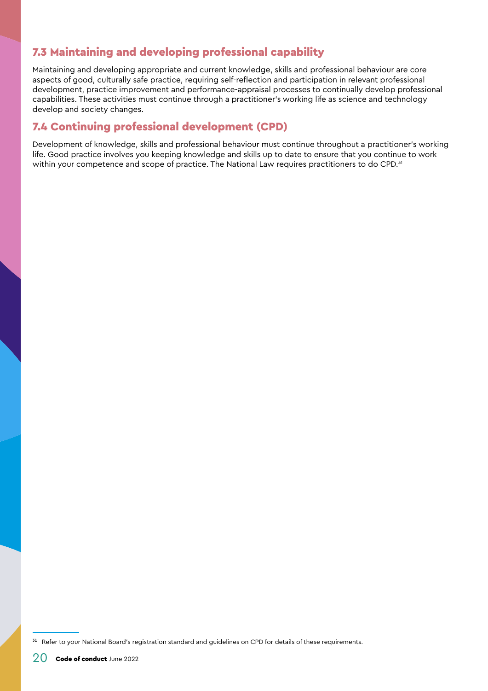#### <span id="page-19-0"></span>7.3 Maintaining and developing professional capability

Maintaining and developing appropriate and current knowledge, skills and professional behaviour are core aspects of good, culturally safe practice, requiring self-reflection and participation in relevant professional development, practice improvement and performance-appraisal processes to continually develop professional capabilities. These activities must continue through a practitioner's working life as science and technology develop and society changes.

#### 7.4 Continuing professional development (CPD)

Development of knowledge, skills and professional behaviour must continue throughout a practitioner's working life. Good practice involves you keeping knowledge and skills up to date to ensure that you continue to work within your competence and scope of practice. The National Law requires practitioners to do CPD.<sup>31</sup>

<sup>&</sup>lt;sup>31</sup> Refer to your National Board's registration standard and guidelines on CPD for details of these requirements.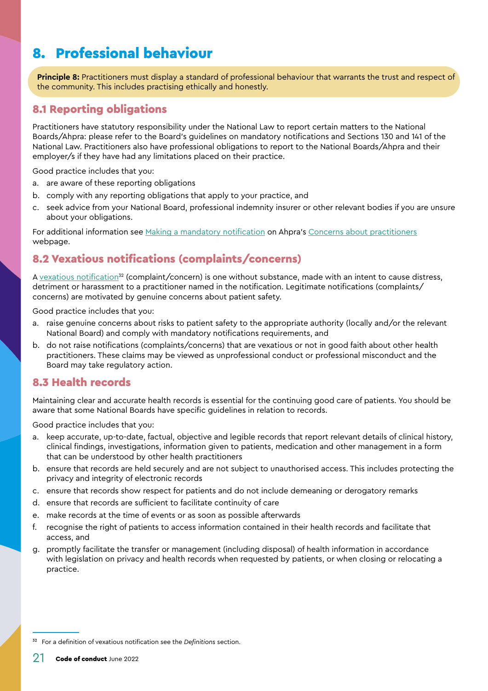## <span id="page-20-0"></span>8. Professional behaviour

**Principle 8:** Practitioners must display a standard of professional behaviour that warrants the trust and respect of the community. This includes practising ethically and honestly.

#### 8.1 Reporting obligations

Practitioners have statutory responsibility under the National Law to report certain matters to the National Boards/Ahpra: please refer to the Board's guidelines on mandatory notifications and Sections 130 and 141 of the National Law. Practitioners also have professional obligations to report to the National Boards/Ahpra and their employer/s if they have had any limitations placed on their practice.

Good practice includes that you:

- a. are aware of these reporting obligations
- b. comply with any reporting obligations that apply to your practice, and
- c. seek advice from your National Board, professional indemnity insurer or other relevant bodies if you are unsure about your obligations.

For additional information see [Making a mandatory notification](https://www.ahpra.gov.au/Notifications/mandatorynotifications/Mandatory-notifications.aspx) on Ahpra's [Concerns about practitioners](https://www.ahpra.gov.au/Notifications.aspx) webpage.

#### 8.2 Vexatious notifications (complaints/concerns)

A vexatious notification<sup>32</sup> (complaint/concern) is one without substance, made with an intent to cause distress, detriment or harassment to a practitioner named in the notification. Legitimate notifications (complaints/ concerns) are motivated by genuine concerns about patient safety.

Good practice includes that you:

- a. raise genuine concerns about risks to patient safety to the appropriate authority (locally and/or the relevant National Board) and comply with mandatory notifications requirements, and
- b. do not raise notifications (complaints/concerns) that are vexatious or not in good faith about other health practitioners. These claims may be viewed as unprofessional conduct or professional misconduct and the Board may take regulatory action.

#### <span id="page-20-1"></span>8.3 Health records

Maintaining clear and accurate health records is essential for the continuing good care of patients. You should be aware that some National Boards have specific guidelines in relation to records.

- keep accurate, up-to-date, factual, objective and legible records that report relevant details of clinical history, clinical findings, investigations, information given to patients, medication and other management in a form that can be understood by other health practitioners
- b. ensure that records are held securely and are not subject to unauthorised access. This includes protecting the privacy and integrity of electronic records
- c. ensure that records show respect for patients and do not include demeaning or derogatory remarks
- d. ensure that records are sufficient to facilitate continuity of care
- e. make records at the time of events or as soon as possible afterwards
- f. recognise the right of patients to access information contained in their health records and facilitate that access, and
- g. promptly facilitate the transfer or management (including disposal) of health information in accordance with legislation on privacy and health records when requested by patients, or when closing or relocating a practice.

<sup>32</sup> For a definition of vexatious notification see the *[Definitions](#page-28-0)* section.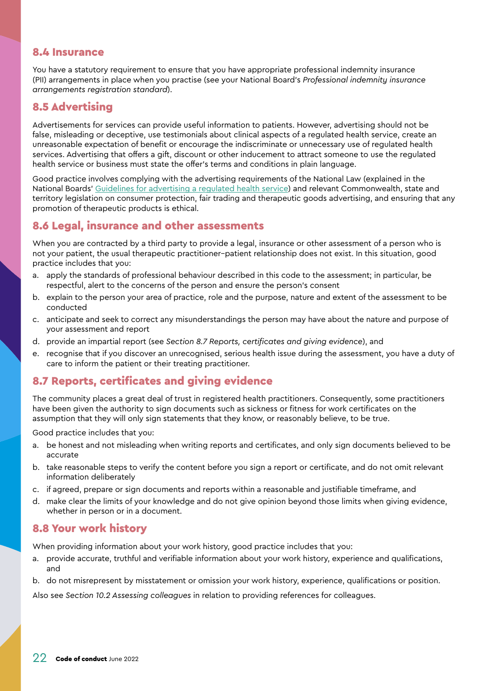#### <span id="page-21-0"></span>8.4 Insurance

You have a statutory requirement to ensure that you have appropriate professional indemnity insurance (PII) arrangements in place when you practise (see your National Board's *Professional indemnity insurance arrangements registration standard*).

#### 8.5 Advertising

Advertisements for services can provide useful information to patients. However, advertising should not be false, misleading or deceptive, use testimonials about clinical aspects of a regulated health service, create an unreasonable expectation of benefit or encourage the indiscriminate or unnecessary use of regulated health services. Advertising that offers a gift, discount or other inducement to attract someone to use the regulated health service or business must state the offer's terms and conditions in plain language.

Good practice involves complying with the advertising requirements of the National Law (explained in the National Boards' [Guidelines for advertising a regulated health service\)](https://www.ahpra.gov.au/Publications/Advertising-hub/Advertising-guidelines-and-other-guidance/Advertising-guidelines.aspx) and relevant Commonwealth, state and territory legislation on consumer protection, fair trading and therapeutic goods advertising, and ensuring that any promotion of therapeutic products is ethical.

#### 8.6 Legal, insurance and other assessments

When you are contracted by a third party to provide a legal, insurance or other assessment of a person who is not your patient, the usual therapeutic practitioner–patient relationship does not exist. In this situation, good practice includes that you:

- a. apply the standards of professional behaviour described in this code to the assessment; in particular, be respectful, alert to the concerns of the person and ensure the person's consent
- b. explain to the person your area of practice, role and the purpose, nature and extent of the assessment to be conducted
- c. anticipate and seek to correct any misunderstandings the person may have about the nature and purpose of your assessment and report
- d. provide an impartial report (see *Section [8.7 Reports, certificates and giving evidence](#page-21-1)*), and
- e. recognise that if you discover an unrecognised, serious health issue during the assessment, you have a duty of care to inform the patient or their treating practitioner.

#### <span id="page-21-1"></span>8.7 Reports, certificates and giving evidence

The community places a great deal of trust in registered health practitioners. Consequently, some practitioners have been given the authority to sign documents such as sickness or fitness for work certificates on the assumption that they will only sign statements that they know, or reasonably believe, to be true.

Good practice includes that you:

- a. be honest and not misleading when writing reports and certificates, and only sign documents believed to be accurate
- b. take reasonable steps to verify the content before you sign a report or certificate, and do not omit relevant information deliberately
- c. if agreed, prepare or sign documents and reports within a reasonable and justifiable timeframe, and
- d. make clear the limits of your knowledge and do not give opinion beyond those limits when giving evidence, whether in person or in a document.

#### 8.8 Your work history

When providing information about your work history, good practice includes that you:

- a. provide accurate, truthful and verifiable information about your work history, experience and qualifications, and
- b. do not misrepresent by misstatement or omission your work history, experience, qualifications or position.

Also see *Section [10.2 Assessing colleagues](#page-25-2)* in relation to providing references for colleagues.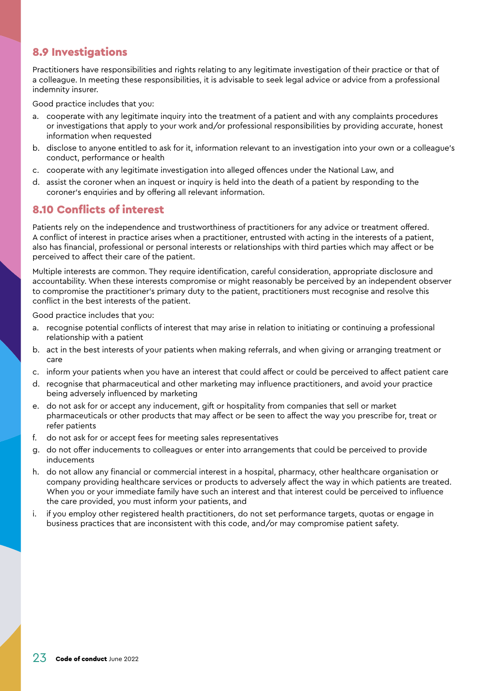#### <span id="page-22-0"></span>8.9 Investigations

Practitioners have responsibilities and rights relating to any legitimate investigation of their practice or that of a colleague. In meeting these responsibilities, it is advisable to seek legal advice or advice from a professional indemnity insurer.

Good practice includes that you:

- a. cooperate with any legitimate inquiry into the treatment of a patient and with any complaints procedures or investigations that apply to your work and/or professional responsibilities by providing accurate, honest information when requested
- b. disclose to anyone entitled to ask for it, information relevant to an investigation into your own or a colleague's conduct, performance or health
- c. cooperate with any legitimate investigation into alleged offences under the National Law, and
- d. assist the coroner when an inquest or inquiry is held into the death of a patient by responding to the coroner's enquiries and by offering all relevant information.

#### 8.10 Conflicts of interest

Patients rely on the independence and trustworthiness of practitioners for any advice or treatment offered. A conflict of interest in practice arises when a practitioner, entrusted with acting in the interests of a patient, also has financial, professional or personal interests or relationships with third parties which may affect or be perceived to affect their care of the patient.

Multiple interests are common. They require identification, careful consideration, appropriate disclosure and accountability. When these interests compromise or might reasonably be perceived by an independent observer to compromise the practitioner's primary duty to the patient, practitioners must recognise and resolve this conflict in the best interests of the patient.

- a. recognise potential conflicts of interest that may arise in relation to initiating or continuing a professional relationship with a patient
- b. act in the best interests of your patients when making referrals, and when giving or arranging treatment or care
- c. inform your patients when you have an interest that could affect or could be perceived to affect patient care
- d. recognise that pharmaceutical and other marketing may influence practitioners, and avoid your practice being adversely influenced by marketing
- e. do not ask for or accept any inducement, gift or hospitality from companies that sell or market pharmaceuticals or other products that may affect or be seen to affect the way you prescribe for, treat or refer patients
- f. do not ask for or accept fees for meeting sales representatives
- g. do not offer inducements to colleagues or enter into arrangements that could be perceived to provide inducements
- h. do not allow any financial or commercial interest in a hospital, pharmacy, other healthcare organisation or company providing healthcare services or products to adversely affect the way in which patients are treated. When you or your immediate family have such an interest and that interest could be perceived to influence the care provided, you must inform your patients, and
- i. if you employ other registered health practitioners, do not set performance targets, quotas or engage in business practices that are inconsistent with this code, and/or may compromise patient safety.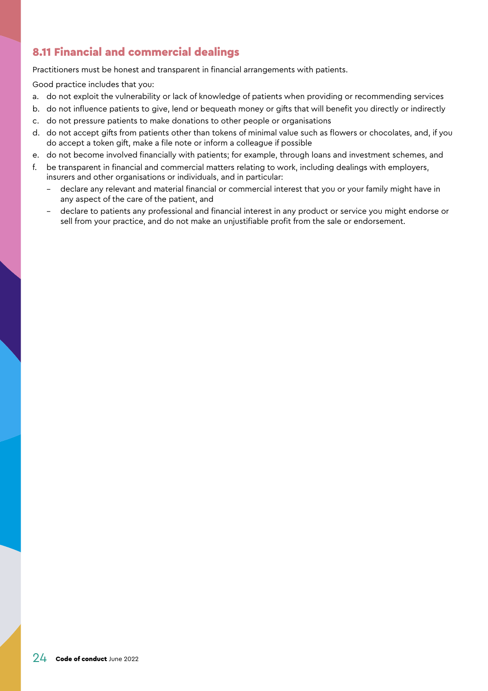#### <span id="page-23-1"></span><span id="page-23-0"></span>8.11 Financial and commercial dealings

Practitioners must be honest and transparent in financial arrangements with patients.

- a. do not exploit the vulnerability or lack of knowledge of patients when providing or recommending services
- b. do not influence patients to give, lend or bequeath money or gifts that will benefit you directly or indirectly
- c. do not pressure patients to make donations to other people or organisations
- d. do not accept gifts from patients other than tokens of minimal value such as flowers or chocolates, and, if you do accept a token gift, make a file note or inform a colleague if possible
- e. do not become involved financially with patients; for example, through loans and investment schemes, and
- f. be transparent in financial and commercial matters relating to work, including dealings with employers, insurers and other organisations or individuals, and in particular:
	- declare any relevant and material financial or commercial interest that you or your family might have in any aspect of the care of the patient, and
	- declare to patients any professional and financial interest in any product or service you might endorse or sell from your practice, and do not make an unjustifiable profit from the sale or endorsement.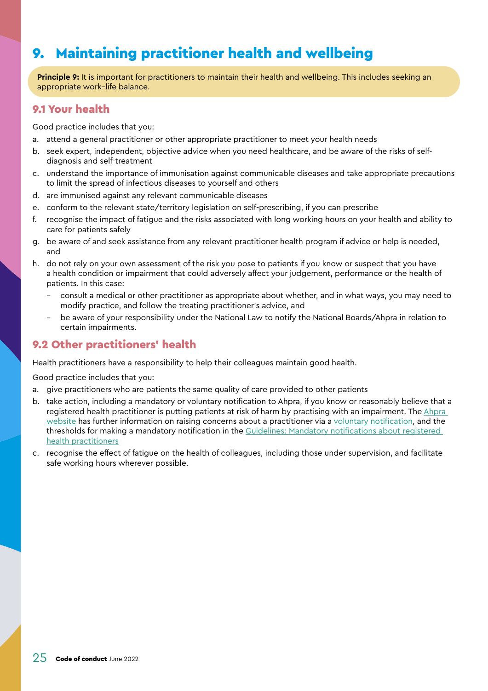## <span id="page-24-0"></span>9. Maintaining practitioner health and wellbeing

**Principle 9:** It is important for practitioners to maintain their health and wellbeing. This includes seeking an appropriate work–life balance.

#### <span id="page-24-1"></span>9.1 Your health

Good practice includes that you:

- a. attend a general practitioner or other appropriate practitioner to meet your health needs
- b. seek expert, independent, objective advice when you need healthcare, and be aware of the risks of selfdiagnosis and self-treatment
- c. understand the importance of immunisation against communicable diseases and take appropriate precautions to limit the spread of infectious diseases to yourself and others
- d. are immunised against any relevant communicable diseases
- e. conform to the relevant state/territory legislation on self-prescribing, if you can prescribe
- f. recognise the impact of fatigue and the risks associated with long working hours on your health and ability to care for patients safely
- g. be aware of and seek assistance from any relevant practitioner health program if advice or help is needed, and
- h. do not rely on your own assessment of the risk you pose to patients if you know or suspect that you have a health condition or impairment that could adversely affect your judgement, performance or the health of patients. In this case:
	- consult a medical or other practitioner as appropriate about whether, and in what ways, you may need to modify practice, and follow the treating practitioner's advice, and
	- be aware of your responsibility under the National Law to notify the National Boards/Ahpra in relation to certain impairments.

#### <span id="page-24-2"></span>9.2 Other practitioners' health

Health practitioners have a responsibility to help their colleagues maintain good health.

- a. give practitioners who are patients the same quality of care provided to other patients
- b. take action, including a mandatory or voluntary notification to Ahpra, if you know or reasonably believe that a registered health practitioner is putting patients at risk of harm by practising with an impairment. The [Ahpra](https://www.ahpra.gov.au/Notifications.aspx)  [website](https://www.ahpra.gov.au/Notifications.aspx) has further information on raising concerns about a practitioner via a [voluntary notification,](https://www.ahpra.gov.au/Notifications/Raise-a-concern.aspx) and the thresholds for making a mandatory notification in the [Guidelines: Mandatory notifications about registered](https://www.ahpra.gov.au/Notifications/mandatorynotifications/Revised-guidelines.aspx)  [health practitioners](https://www.ahpra.gov.au/Notifications/mandatorynotifications/Revised-guidelines.aspx)
- c. recognise the effect of fatigue on the health of colleagues, including those under supervision, and facilitate safe working hours wherever possible.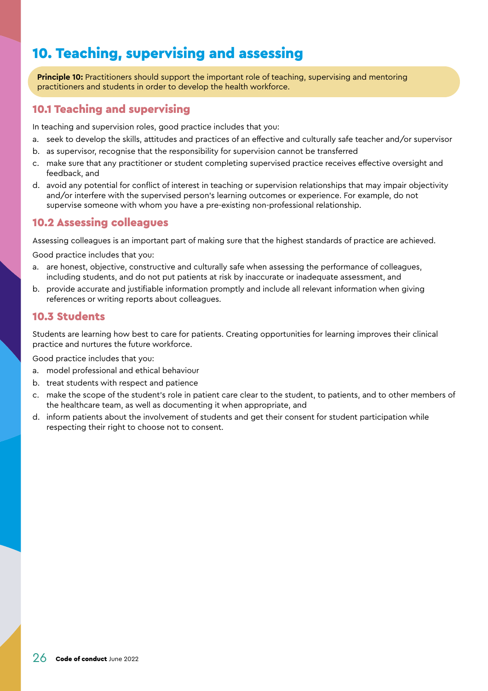## <span id="page-25-1"></span><span id="page-25-0"></span>10. Teaching, supervising and assessing

**Principle 10:** Practitioners should support the important role of teaching, supervising and mentoring practitioners and students in order to develop the health workforce.

#### 10.1 Teaching and supervising

In teaching and supervision roles, good practice includes that you:

- a. seek to develop the skills, attitudes and practices of an effective and culturally safe teacher and/or supervisor
- b. as supervisor, recognise that the responsibility for supervision cannot be transferred
- c. make sure that any practitioner or student completing supervised practice receives effective oversight and feedback, and
- d. avoid any potential for conflict of interest in teaching or supervision relationships that may impair objectivity and/or interfere with the supervised person's learning outcomes or experience. For example, do not supervise someone with whom you have a pre-existing non-professional relationship.

#### <span id="page-25-2"></span>10.2 Assessing colleagues

Assessing colleagues is an important part of making sure that the highest standards of practice are achieved.

Good practice includes that you:

- a. are honest, objective, constructive and culturally safe when assessing the performance of colleagues, including students, and do not put patients at risk by inaccurate or inadequate assessment, and
- b. provide accurate and justifiable information promptly and include all relevant information when giving references or writing reports about colleagues.

#### 10.3 Students

Students are learning how best to care for patients. Creating opportunities for learning improves their clinical practice and nurtures the future workforce.

- a. model professional and ethical behaviour
- b. treat students with respect and patience
- c. make the scope of the student's role in patient care clear to the student, to patients, and to other members of the healthcare team, as well as documenting it when appropriate, and
- d. inform patients about the involvement of students and get their consent for student participation while respecting their right to choose not to consent.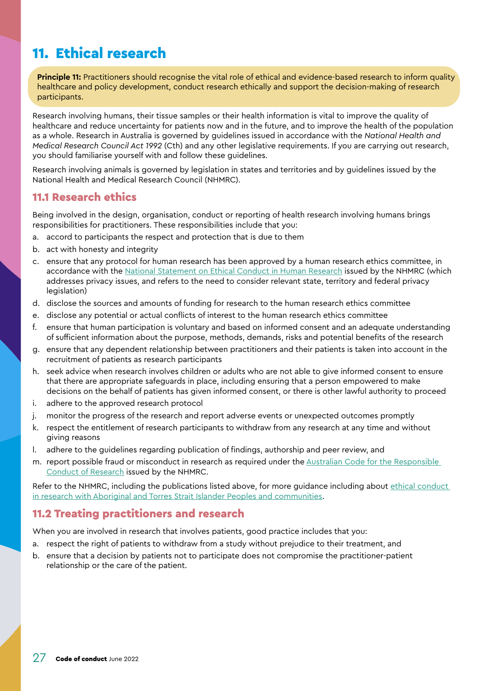## <span id="page-26-1"></span><span id="page-26-0"></span>11. Ethical research

**Principle 11:** Practitioners should recognise the vital role of ethical and evidence-based research to inform quality healthcare and policy development, conduct research ethically and support the decision-making of research participants.

Research involving humans, their tissue samples or their health information is vital to improve the quality of healthcare and reduce uncertainty for patients now and in the future, and to improve the health of the population as a whole. Research in Australia is governed by guidelines issued in accordance with the *National Health and Medical Research Council Act 1992* (Cth) and any other legislative requirements. If you are carrying out research, you should familiarise yourself with and follow these guidelines.

Research involving animals is governed by legislation in states and territories and by guidelines issued by the National Health and Medical Research Council (NHMRC).

#### 11.1 Research ethics

Being involved in the design, organisation, conduct or reporting of health research involving humans brings responsibilities for practitioners. These responsibilities include that you:

- a. accord to participants the respect and protection that is due to them
- b. act with honesty and integrity
- c. ensure that any protocol for human research has been approved by a human research ethics committee, in accordance with the [National Statement on Ethical Conduct in Human Research](https://www.nhmrc.gov.au/about-us/publications/national-statement-ethical-conduct-human-research-2007-updated-2018) issued by the NHMRC (which addresses privacy issues, and refers to the need to consider relevant state, territory and federal privacy legislation)
- d. disclose the sources and amounts of funding for research to the human research ethics committee
- e. disclose any potential or actual conflicts of interest to the human research ethics committee
- f. ensure that human participation is voluntary and based on informed consent and an adequate understanding of sufficient information about the purpose, methods, demands, risks and potential benefits of the research
- g. ensure that any dependent relationship between practitioners and their patients is taken into account in the recruitment of patients as research participants
- h. seek advice when research involves children or adults who are not able to give informed consent to ensure that there are appropriate safeguards in place, including ensuring that a person empowered to make decisions on the behalf of patients has given informed consent, or there is other lawful authority to proceed
- i. adhere to the approved research protocol
- j. monitor the progress of the research and report adverse events or unexpected outcomes promptly
- k. respect the entitlement of research participants to withdraw from any research at any time and without giving reasons
- l. adhere to the guidelines regarding publication of findings, authorship and peer review, and
- m. report possible fraud or misconduct in research as required under the [Australian Code for the Responsible](https://www.nhmrc.gov.au/about-us/publications/australian-code-responsible-conduct-research-2018)  [Conduct of Research](https://www.nhmrc.gov.au/about-us/publications/australian-code-responsible-conduct-research-2018) issued by the NHMRC.

Refer to the NHMRC, including the publications listed above, for more guidance including about ethical conduct [in research with Aboriginal and Torres Strait Islander Peoples and communities](https://www.nhmrc.gov.au/research-policy/ethics/ethical-guidelines-research-aboriginal-and-torres-strait-islander-peoples).

#### 11.2 Treating practitioners and research

When you are involved in research that involves patients, good practice includes that you:

- a. respect the right of patients to withdraw from a study without prejudice to their treatment, and
- b. ensure that a decision by patients not to participate does not compromise the practitioner-patient relationship or the care of the patient.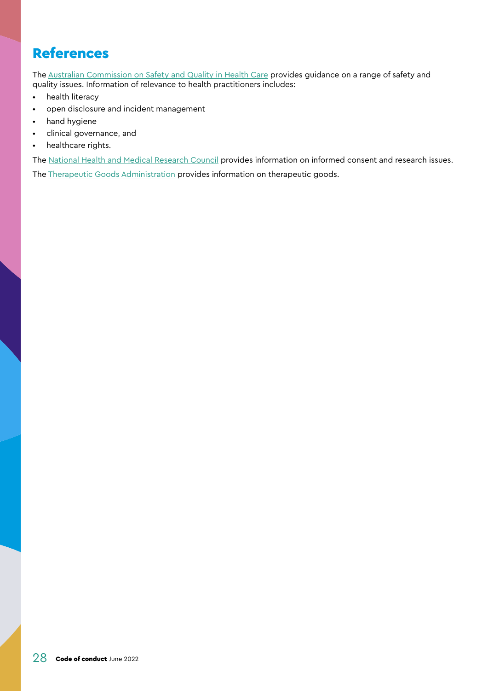## <span id="page-27-1"></span><span id="page-27-0"></span>References

The [Australian Commission on Safety and Quality in Health Care](https://www.safetyandquality.gov.au/) provides guidance on a range of safety and quality issues. Information of relevance to health practitioners includes:

- health literacy
- open disclosure and incident management
- hand hygiene
- clinical governance, and
- healthcare rights.

The [National Health and Medical Research Council](https://www.nhmrc.gov.au/) provides information on informed consent and research issues. The [Therapeutic Goods Administration](https://www.tga.gov.au/) provides information on therapeutic goods.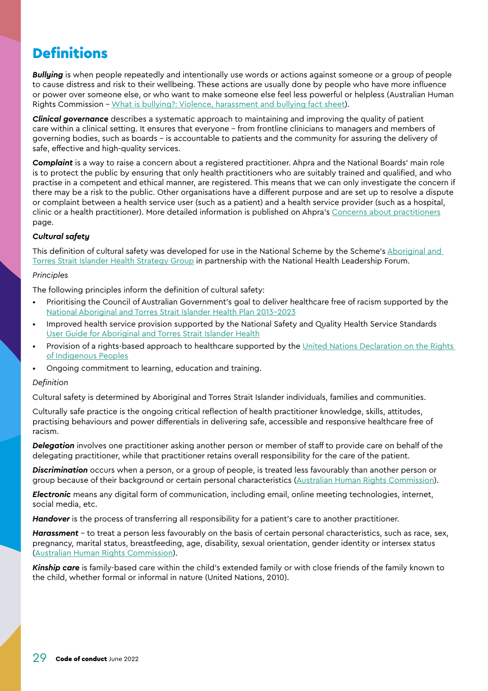## <span id="page-28-1"></span><span id="page-28-0"></span>**Definitions**

*Bullying* is when people repeatedly and intentionally use words or actions against someone or a group of people to cause distress and risk to their wellbeing. These actions are usually done by people who have more influence or power over someone else, or who want to make someone else feel less powerful or helpless (Australian Human Rights Commission – [What is bullying?: Violence, harassment and bullying fact sheet\)](https://humanrights.gov.au/our-work/commission-general/what-bullying-violence-harassment-and-bullying-fact-sheet).

*Clinical governance* describes a systematic approach to maintaining and improving the quality of patient care within a clinical setting. It ensures that everyone – from frontline clinicians to managers and members of governing bodies, such as boards – is accountable to patients and the community for assuring the delivery of safe, effective and high-quality services.

*Complaint* is a way to raise a concern about a registered practitioner. Ahpra and the National Boards' main role is to protect the public by ensuring that only health practitioners who are suitably trained and qualified, and who practise in a competent and ethical manner, are registered. This means that we can only investigate the concern if there may be a risk to the public. Other organisations have a different purpose and are set up to resolve a dispute or complaint between a health service user (such as a patient) and a health service provider (such as a hospital, clinic or a health practitioner). More detailed information is published on Ahpra's [Concerns about practitioners](https://www.ahpra.gov.au/Notifications.aspx) page.

#### *Cultural safety*

This definition of cultural safety was developed for use in the National Scheme by the Scheme's [Aboriginal and](https://www.ahpra.gov.au/About-Ahpra/Aboriginal-and-Torres-Strait-Islander-Health-Strategy.aspx)  [Torres Strait Islander Health Strategy Group](https://www.ahpra.gov.au/About-Ahpra/Aboriginal-and-Torres-Strait-Islander-Health-Strategy.aspx) in partnership with the National Health Leadership Forum.

#### *Principles*

The following principles inform the definition of cultural safety:

- Prioritising the Council of Australian Government's goal to deliver healthcare free of racism supported by the [National Aboriginal and Torres Strait Islander Health Plan 2013-2023](https://www.health.gov.au/resources/publications/national-aboriginal-and-torres-strait-islander-health-plan-2013-2023)
- Improved health service provision supported by the National Safety and Quality Health Service Standards [User Guide for Aboriginal and Torres Strait Islander Health](https://www.safetyandquality.gov.au/publications-and-resources/resource-library/nsqhs-standards-user-guide-aboriginal-and-torres-strait-islander-health)
- Provision of a rights-based approach to healthcare supported by the [United Nations Declaration on the Rights](https://humanrights.gov.au/our-work/un-declaration-rights-indigenous-peoples-1)  [of Indigenous Peoples](https://humanrights.gov.au/our-work/un-declaration-rights-indigenous-peoples-1)
- Ongoing commitment to learning, education and training.

#### *Definition*

Cultural safety is determined by Aboriginal and Torres Strait Islander individuals, families and communities.

Culturally safe practice is the ongoing critical reflection of health practitioner knowledge, skills, attitudes, practising behaviours and power differentials in delivering safe, accessible and responsive healthcare free of racism.

*Delegation* involves one practitioner asking another person or member of staff to provide care on behalf of the delegating practitioner, while that practitioner retains overall responsibility for the care of the patient.

*Discrimination* occurs when a person, or a group of people, is treated less favourably than another person or group because of their background or certain personal characteristics ([Australian Human Rights Commission\)](https://humanrights.gov.au/our-work/employers/workplace-discrimination-harassment-and-bullying).

*Electronic* means any digital form of communication, including email, online meeting technologies, internet, social media, etc.

*Handover* is the process of transferring all responsibility for a patient's care to another practitioner.

*Harassment* – to treat a person less favourably on the basis of certain personal characteristics, such as race, sex, pregnancy, marital status, breastfeeding, age, disability, sexual orientation, gender identity or intersex status [\(Australian Human Rights Commission\)](https://humanrights.gov.au/our-work/employers/workplace-discrimination-harassment-and-bullying).

*Kinship care* is family-based care within the child's extended family or with close friends of the family known to the child, whether formal or informal in nature (United Nations, 2010).